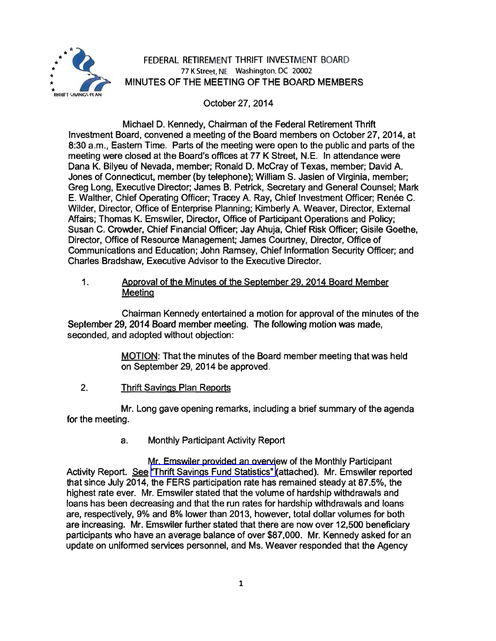

# FEDERAL RETIREMENT THRIFT INVESTMENT BOARD 77 K Street, NE Washington, DC 20002 MINUTES OF THE MEETING OF THE BOARD MEMBERS

October 27, 2014

Michael D. Kennedy, Chairman of the Federal Retirement Thrift Investment Board, convened a meeting of the Board members on October 27, 2014, at 8:30 a.m., Eastern Time. Parts of the meeting were open to the public and parts of the meeting were closed at the Board's offices at 77 K Street, N.E. In attendance were Dana K. Bilyeu of Nevada, member; Ronald D. McCray of Texas, member; David A. Jones of Connecticut, member (by telephone); William S. Jasien of Virginia, member; Greg Long, Executive Director; James B. Petrick, Secretary and General Counsel; Mark E. Walther, Chief Operating Officer; Tracey A. Ray, Chief Investment Officer; Renée C. Wilder, Director, Office of Enterprise Planning; Kimberly A. Weaver, Director, External Affairs; Thomas K. Emswiler, Director, Office of Participant Operations and Policy; Susan C. Crowder, Chief Financial Officer; Jay Ahuja, Chief Risk Officer; Gisile Goethe, Director, Office of Resource Management; James Courtney, Director, Office of Communications and Education; John Ramsey, Chief Information Security Officer; and Charles Bradshaw, Executive Advisor to the Executive Director.

1. Approval of the Minutes of the September 29. 2014 Board Member **Meeting** 

Chairman Kennedy entertained a motion for approval of the minutes of the September 29, 2014 Board member meeting. The following motion was made, seconded, and adopted without objection:

> MOTION: That the minutes of the Board member meeting that was held on September 29, 2014 be approved.

2. Thrift Savings Plan Reports

Mr. Long gave opening remarks, including a brief summary of the agenda for the meeting.

a. Monthly Participant Activity Report

Mr. Emswiler provided an overview of the Monthly Participant Activity Report. See ["Thrift Savings Fund Statistics"](http://www.frtib.gov/pdf/minutes/MM-2014Oct-Att1.pdf) (attached). Mr. Emswiler reported that since July 2014, the FERS participation rate has remained steady at 87 .5%, the highest rate ever. Mr. Emswiler stated that the volume of hardship withdrawals and loans has been decreasing and that the run rates for hardship withdrawals and loans are, respectively, 9% and 8% lower than 2013, however, total dollar volumes for both are increasing. Mr. Emswiler further stated that there are now over 12,500 beneficiary participants who have an average balance of over \$87,000. Mr. Kennedy asked for an update on uniformed services personnel, and Ms. Weaver responded that the Agency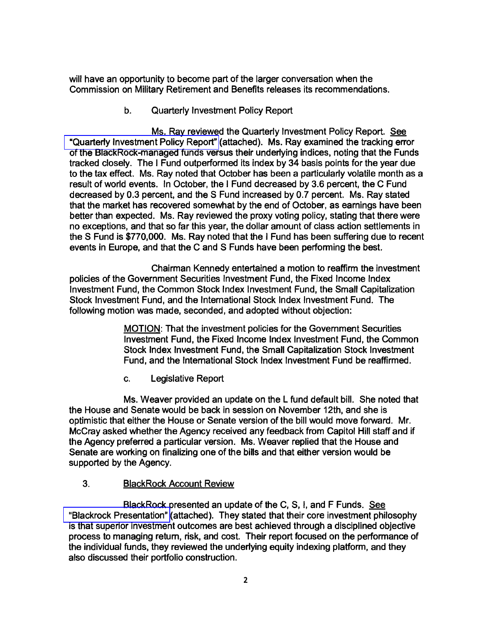will have an opportunity to become part of the larger conversation when the Commission on Military Retirement and Benefits releases its recommendations.

b. Quarterly Investment Policy Report

Ms. Ray reviewed the Quarterly Investment Policy Report. See ["Quarterly Investment Policy Report"](http://www.frtib.gov/pdf/minutes/MM-2014Oct-Att2.pdf) (attached). Ms. Ray examined the tracking error of the BlackRock-managed funds versus their underlying indices, noting that the Funds tracked closely. The I Fund outperformed its index by 34 basis points for the year due to the tax effect. Ms. Ray noted that October has been a particularly volatile month as a result of world events. In October, the I Fund decreased by 3.6 percent, the C Fund decreased by 0.3 percent, and the S Fund increased by 0.7 percent. Ms. Ray stated that the market has recovered somewhat by the end of October, as earnings have been better than expected. Ms. Ray reviewed the proxy voting policy, stating that there were no exceptions, and that so far this year, the dollar amount of class action settlements in the S Fund is \$770,000. Ms. Ray noted that the I Fund has been suffering due to recent events in Europe, and that the C and S Funds have been performing the best.

Chairman Kennedy entertained a motion to reaffirm the investment policies of the Government Securities Investment Fund, the Fixed Income Index Investment Fund, the Common Stock Index Investment Fund, the Small Capitalization Stock Investment Fund, and the International Stock Index Investment Fund. The following motion was made, seconded, and adopted without objection:

> MOTION: That the investment policies for the Government Securities Investment Fund, the Fixed Income Index Investment Fund, the Common Stock Index Investment Fund, the Small Capitalization Stock Investment Fund, and the International Stock Index Investment Fund be reaffirmed.

c. Legislative Report

Ms. Weaver provided an update on the L fund default bill. She noted that the House and Senate would be back in session on November 12th, and she is optimistic that either the House or Senate version of the bill would move forward. Mr. McCray asked whether the Agency received any feedback from Capitol Hill staff and if the Agency preferred a particular version. Ms. Weaver replied that the House and Senate are working on finalizing one of the bills and that either version would be supported by the Agency.

#### 3. BlackRock Account Review

BlackRock presented an update of the C, S, I, and F Funds. See ["Blackrock Presentation"](http://www.frtib.gov/pdf/minutes/MM-2014Oct-Att3.pdf) (attached). They stated that their core investment philosophy is that superior investment outcomes are best achieved through a disciplined objective process to managing return, risk, and cost. Their report focused on the performance of the individual funds, they reviewed the underlying equity indexing platform, and they also discussed their portfolio construction.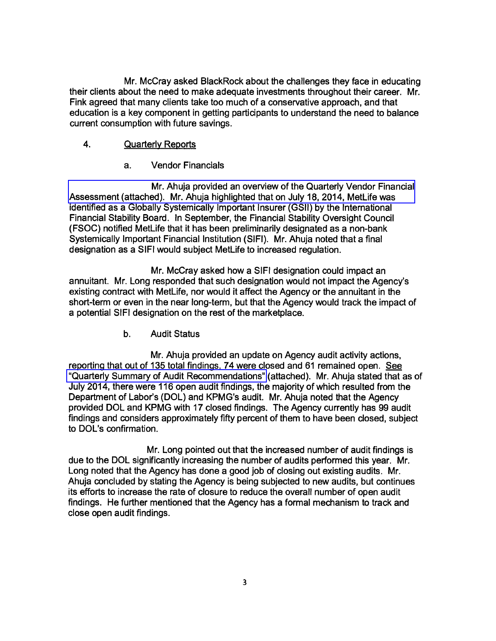Mr. McCray asked BlackRock about the challenges they face in educating their clients about the need to make adequate investments throughout their career. Mr. Fink agreed that many clients take too much of a conservative approach, and that education is a key component in getting participants to understand the need to balance current consumption with future savings.

## 4. Quarterly Reports

a. Vendor Financials

Mr. Ahuja provided an overview of the Quarterly Vendor Financial [Assessment \(attached\). Mr. Ahuja highlighted that on July 18, 2014, MetLife was](http://www.frtib.gov/pdf/minutes/MM-2014Oct-Att4.pdf)  identified as a Globally Systemically Important Insurer (GSll) by the International Financial Stability Board. In September, the Financial Stability Oversight Council (FSOC) notified MetLife that it has been preliminarily designated as a non-bank Systemically Important Financial Institution (SIFI). Mr. Ahuja noted that a final designation as a SIFI would subject MetLife to increased regulation.

Mr. McCray asked how a SIFI designation could impact an annuitant. Mr. Long responded that such designation would not impact the Agency's existing contract with MetLife, nor would it affect the Agency or the annuitant in the short-term or even in the near long-term, but that the Agency would track the impact of a potential SIFI designation on the rest of the marketplace.

b. Audit Status

Mr. Ahuja provided an update on Agency audit activity actions, reporting that out of 135 total findings, 74 were closed and 61 remained open. See ["Quarterly Summary of Audit Recommendations"](http://www.frtib.gov/pdf/minutes/MM-2014Oct-Att5.pdf) (attached). Mr. Ahuja stated that as of July 2014, there were 116 open audit findings, the majority of which resulted from the Department of Labor's (DOL) and KPMG's audit. Mr. Ahuja noted that the Agency provided DOL and KPMG with 17 closed findings. The Agency currently has 99 audit findings and considers approximately fifty percent of them to have been closed, subject to DOL's confirmation.

Mr. Long pointed out that the increased number of audit findings is due to the DOL significantly increasing the number of audits performed this year. Mr. Long noted that the Agency has done a good job of closing out existing audits. Mr. Ahuja concluded by stating the Agency is being subjected to new audits, but continues its efforts to increase the rate of closure to reduce the overall number of open audit findings. He further mentioned that the Agency has a formal mechanism to track and close open audit findings.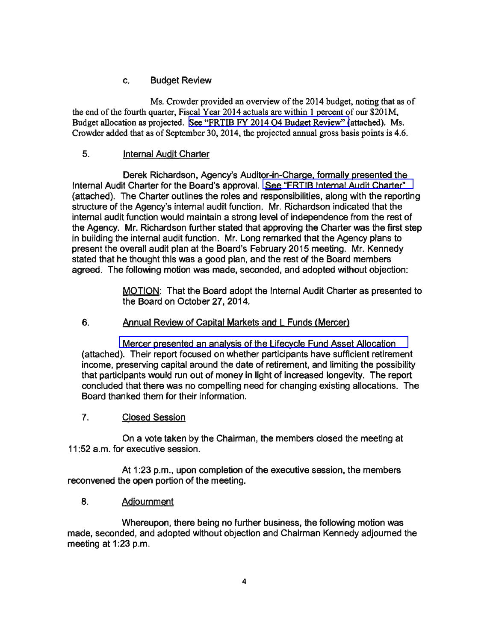## c. Budget Review

Ms. Crowder provided an overview of the 2014 budget, noting that as of the end of the fourth quarter, Fiscal Year 2014 actuals are within 1 percent of our \$201M. Budget allocation as projected. [See "FRTIB FY 2014 Q4 Budget Review" \(](http://www.frtib.gov/pdf/minutes/MM-2014Oct-Att6.pdf)attached). Ms. Crowder added that as of September 30, 2014, the projected annual gross basis points is 4.6.

## 5. Internal Audit Charter

Derek Richardson, Agency's Auditor-in-Charge, formally presented the Internal Audit Charter for the Board's approval. [See "FRTIB Internal Audit Charter"](http://www.frtib.gov/pdf/minutes/MM-2014Oct-Att7.pdf)  (attached). The Charter outlines the roles and responsibilities, along with the reporting structure of the Agency's internal audit function. Mr. Richardson indicated that the internal audit function would maintain a strong level of independence from the rest of the Agency. Mr. Richardson further stated that approving the Charter was the first step in building the internal audit function. Mr. Long remarked that the Agency plans to present the overall audit plan at the Board's February 2015 meeting. Mr. Kennedy stated that he thought this was a good plan, and the rest of the Board members agreed. The following motion was made, seconded, and adopted without objection:

> MOTION: That the Board adopt the Internal Audit Charter as presented to the Board on October 27, 2014.

#### 6. Annual Review of Capital Markets and L Funds (Mercer)

[Mercer presented an analysis of the Lifecycle Fund Asset Allocation](http://www.frtib.gov/pdf/minutes/MM-2014Oct-Att8.pdf)  (attached). Their report focused on whether participants have sufficient retirement income, preserving capital around the date of retirement, and limiting the possibility that participants would run out of money in light of increased longevity. The report concluded that there was no compelling need for changing existing allocations. The Board thanked them for their information.

## 7. Closed Session

On a vote taken by the Chairman, the members closed the meeting at 11 :52 a.m. for executive session.

At 1:23 p.m., upon completion of the executive session, the members reconvened the open portion of the meeting.

#### 8. Adjournment

Whereupon, there being no further business, the following motion was made, seconded, and adopted without objection and Chairman Kennedy adjourned the meeting at 1:23 p.m.